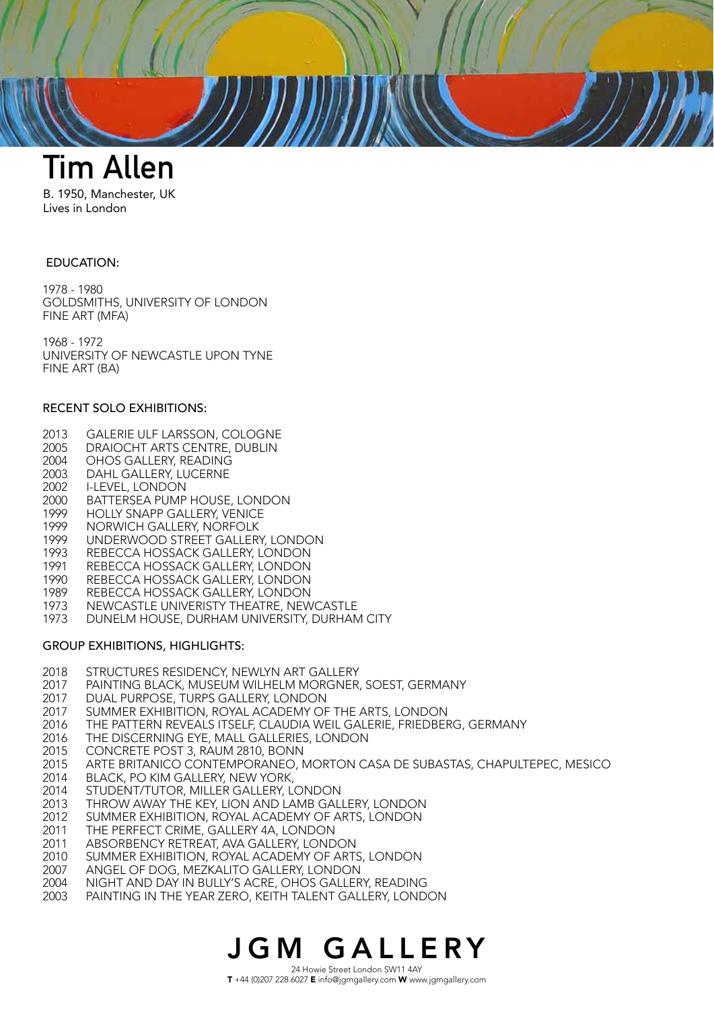

B. 1950, Manchester, UK Lives in London

## EDUCATION:

1978 - 1980 GOLDSMITHS, UNIVERSITY OF LONDON FINE ART (MFA)

1968 - 1972 UNIVERSITY OF NEWCASTLE UPON TYNE FINE ART (BA)

## RECENT SOLO EXHIBITIONS:

- 2013 GALERIE ULF LARSSON, COLOGNE
- 2005 DRAIOCHT ARTS CENTRE, DUBLIN
- 2004 OHOS GALLERY, READING
- 2003 DAHL GALLERY, LUCERNE
- 2002 I-LEVEL, LONDON
- 2000 BATTERSEA PUMP HOUSE, LONDON<br>1999 HOLLY SNAPP GALLERY, VENICE
- HOLLY SNAPP GALLERY, VENICE
- 1999 NORWICH GALLERY, NORFOLK<br>1999 UNDERWOOD STREET GALLER
- 1999 UNDERWOOD STREET GALLERY, LONDON<br>1993 REBECCA HOSSACK GALLERY, LONDON
- REBECCA HOSSACK GALLERY, LONDON
- 1991 REBECCA HOSSACK GALLERY, LONDON<br>1990 REBECCA HOSSACK GALLERY, LONDON
- REBECCA HOSSACK GALLERY, LONDON
- 1989 REBECCA HOSSACK GALLERY, LONDON
- 1973 NEWCASTLE UNIVERISTY THEATRE, NEWCASTLE
- 1973 DUNELM HOUSE, DURHAM UNIVERSITY, DURHAM CITY

## GROUP EXHIBITIONS, HIGHLIGHTS:

- 2018 STRUCTURES RESIDENCY, NEWLYN ART GALLERY
- 2017 PAINTING BLACK, MUSEUM WILHELM MORGNER, SOEST, GERMANY
- 2017 DUAL PURPOSE, TURPS GALLERY, LONDON
- 2017 SUMMER EXHIBITION, ROYAL ACADEMY OF THE ARTS, LONDON
- 2016 THE PATTERN REVEALS ITSELF, CLAUDIA WEIL GALERIE, FRIEDBERG, GERMANY
- 2016 THE DISCERNING EYE, MALL GALLERIES, LONDON
- 2015 CONCRETE POST 3, RAUM 2810, BONN
- 2015 ARTE BRITANICO CONTEMPORANEO, MORTON CASA DE SUBASTAS, CHAPULTEPEC, MESICO
- 2014 BLACK, PO KIM GALLERY, NEW YORK,
- 2014 STUDENT/TUTOR, MILLER GALLERY, LONDON
- 2013 THROW AWAY THE KEY, LION AND LAMB GALLERY, LONDON
- 2012 SUMMER EXHIBITION, ROYAL ACADEMY OF ARTS, LONDON
- 2011 THE PERFECT CRIME, GALLERY 4A, LONDON
- 2011 ABSORBENCY RETREAT, AVA GALLERY, LONDON
- 2010 SUMMER EXHIBITION, ROYAL ACADEMY OF ARTS, LONDON
- 2007 ANGEL OF DOG, MEZKALITO GALLERY, LONDON
- 2004 NIGHT AND DAY IN BULLY'S ACRE, OHOS GALLERY, READING
- 2003 PAINTING IN THE YEAR ZERO, KEITH TALENT GALLERY, LONDON

## JGM GALLERY